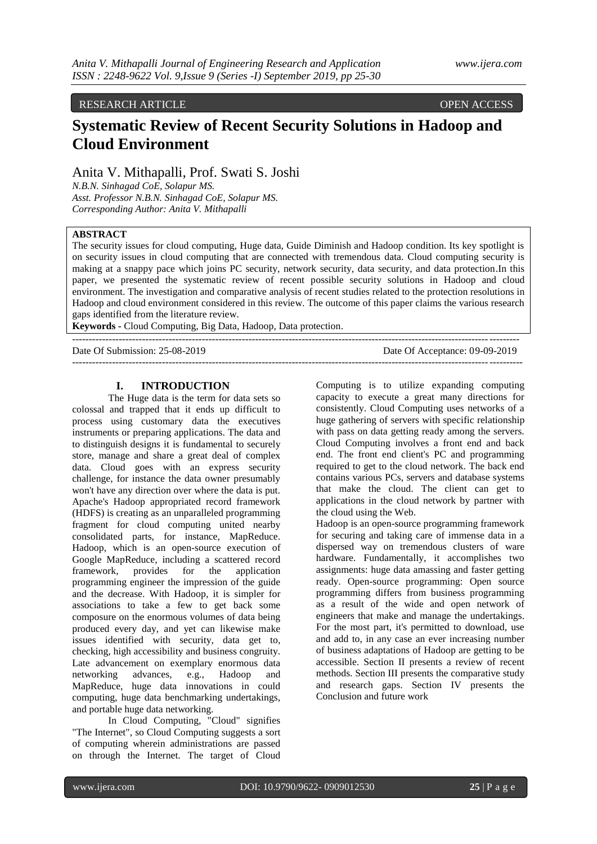RESEARCH ARTICLE OPEN ACCESS

# **Systematic Review of Recent Security Solutions in Hadoop and Cloud Environment**

Anita V. Mithapalli, Prof. Swati S. Joshi

*N.B.N. Sinhagad CoE, Solapur MS. Asst. Professor N.B.N. Sinhagad CoE, Solapur MS. Corresponding Author: Anita V. Mithapalli*

# **ABSTRACT**

The security issues for cloud computing, Huge data, Guide Diminish and Hadoop condition. Its key spotlight is on security issues in cloud computing that are connected with tremendous data. Cloud computing security is making at a snappy pace which joins PC security, network security, data security, and data protection.In this paper, we presented the systematic review of recent possible security solutions in Hadoop and cloud environment. The investigation and comparative analysis of recent studies related to the protection resolutions in Hadoop and cloud environment considered in this review. The outcome of this paper claims the various research gaps identified from the literature review.

**Keywords -** Cloud Computing, Big Data, Hadoop, Data protection.

Date Of Submission: 25-08-2019 Date Of Acceptance: 09-09-2019

---------------------------------------------------------------------------------------------------------------------------------------

#### **I. INTRODUCTION**

The Huge data is the term for data sets so colossal and trapped that it ends up difficult to process using customary data the executives instruments or preparing applications. The data and to distinguish designs it is fundamental to securely store, manage and share a great deal of complex data. Cloud goes with an express security challenge, for instance the data owner presumably won't have any direction over where the data is put. Apache's Hadoop appropriated record framework (HDFS) is creating as an unparalleled programming fragment for cloud computing united nearby consolidated parts, for instance, MapReduce. Hadoop, which is an open-source execution of Google MapReduce, including a scattered record framework, provides for the application programming engineer the impression of the guide and the decrease. With Hadoop, it is simpler for associations to take a few to get back some composure on the enormous volumes of data being produced every day, and yet can likewise make issues identified with security, data get to, checking, high accessibility and business congruity. Late advancement on exemplary enormous data networking advances, e.g., Hadoop and MapReduce, huge data innovations in could computing, huge data benchmarking undertakings, and portable huge data networking.

In Cloud Computing, "Cloud" signifies "The Internet", so Cloud Computing suggests a sort of computing wherein administrations are passed on through the Internet. The target of Cloud

Computing is to utilize expanding computing capacity to execute a great many directions for consistently. Cloud Computing uses networks of a huge gathering of servers with specific relationship with pass on data getting ready among the servers. Cloud Computing involves a front end and back end. The front end client's PC and programming required to get to the cloud network. The back end contains various PCs, servers and database systems that make the cloud. The client can get to applications in the cloud network by partner with the cloud using the Web.

--------------------------------------------------------------------------------------------------------------------------------------

Hadoop is an open-source programming framework for securing and taking care of immense data in a dispersed way on tremendous clusters of ware hardware. Fundamentally, it accomplishes two assignments: huge data amassing and faster getting ready. Open-source programming: Open source programming differs from business programming as a result of the wide and open network of engineers that make and manage the undertakings. For the most part, it's permitted to download, use and add to, in any case an ever increasing number of business adaptations of Hadoop are getting to be accessible. Section II presents a review of recent methods. Section III presents the comparative study and research gaps. Section IV presents the Conclusion and future work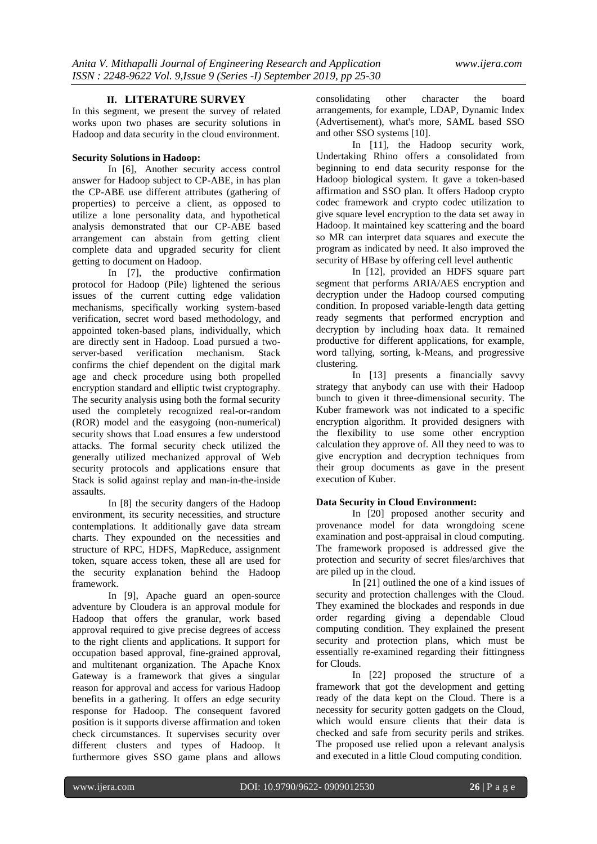# **II. LITERATURE SURVEY**

In this segment, we present the survey of related works upon two phases are security solutions in Hadoop and data security in the cloud environment.

#### **Security Solutions in Hadoop:**

In [6], Another security access control answer for Hadoop subject to CP-ABE, in has plan the CP-ABE use different attributes (gathering of properties) to perceive a client, as opposed to utilize a lone personality data, and hypothetical analysis demonstrated that our CP-ABE based arrangement can abstain from getting client complete data and upgraded security for client getting to document on Hadoop.

In [7], the productive confirmation protocol for Hadoop (Pile) lightened the serious issues of the current cutting edge validation mechanisms, specifically working system-based verification, secret word based methodology, and appointed token-based plans, individually, which are directly sent in Hadoop. Load pursued a twoserver-based verification mechanism. Stack confirms the chief dependent on the digital mark age and check procedure using both propelled encryption standard and elliptic twist cryptography. The security analysis using both the formal security used the completely recognized real-or-random (ROR) model and the easygoing (non-numerical) security shows that Load ensures a few understood attacks. The formal security check utilized the generally utilized mechanized approval of Web security protocols and applications ensure that Stack is solid against replay and man-in-the-inside assaults.

In [8] the security dangers of the Hadoop environment, its security necessities, and structure contemplations. It additionally gave data stream charts. They expounded on the necessities and structure of RPC, HDFS, MapReduce, assignment token, square access token, these all are used for the security explanation behind the Hadoop framework.

In [9], Apache guard an open-source adventure by Cloudera is an approval module for Hadoop that offers the granular, work based approval required to give precise degrees of access to the right clients and applications. It support for occupation based approval, fine-grained approval, and multitenant organization. The Apache Knox Gateway is a framework that gives a singular reason for approval and access for various Hadoop benefits in a gathering. It offers an edge security response for Hadoop. The consequent favored position is it supports diverse affirmation and token check circumstances. It supervises security over different clusters and types of Hadoop. It furthermore gives SSO game plans and allows consolidating other character the board arrangements, for example, LDAP, Dynamic Index (Advertisement), what's more, SAML based SSO and other SSO systems [10].

In [11], the Hadoop security work, Undertaking Rhino offers a consolidated from beginning to end data security response for the Hadoop biological system. It gave a token-based affirmation and SSO plan. It offers Hadoop crypto codec framework and crypto codec utilization to give square level encryption to the data set away in Hadoop. It maintained key scattering and the board so MR can interpret data squares and execute the program as indicated by need. It also improved the security of HBase by offering cell level authentic

In [12], provided an HDFS square part segment that performs ARIA/AES encryption and decryption under the Hadoop coursed computing condition. In proposed variable-length data getting ready segments that performed encryption and decryption by including hoax data. It remained productive for different applications, for example, word tallying, sorting, k-Means, and progressive clustering.

In [13] presents a financially savvy strategy that anybody can use with their Hadoop bunch to given it three-dimensional security. The Kuber framework was not indicated to a specific encryption algorithm. It provided designers with the flexibility to use some other encryption calculation they approve of. All they need to was to give encryption and decryption techniques from their group documents as gave in the present execution of Kuber.

## **Data Security in Cloud Environment:**

In [20] proposed another security and provenance model for data wrongdoing scene examination and post-appraisal in cloud computing. The framework proposed is addressed give the protection and security of secret files/archives that are piled up in the cloud.

In [21] outlined the one of a kind issues of security and protection challenges with the Cloud. They examined the blockades and responds in due order regarding giving a dependable Cloud computing condition. They explained the present security and protection plans, which must be essentially re-examined regarding their fittingness for Clouds.

In [22] proposed the structure of a framework that got the development and getting ready of the data kept on the Cloud. There is a necessity for security gotten gadgets on the Cloud, which would ensure clients that their data is checked and safe from security perils and strikes. The proposed use relied upon a relevant analysis and executed in a little Cloud computing condition.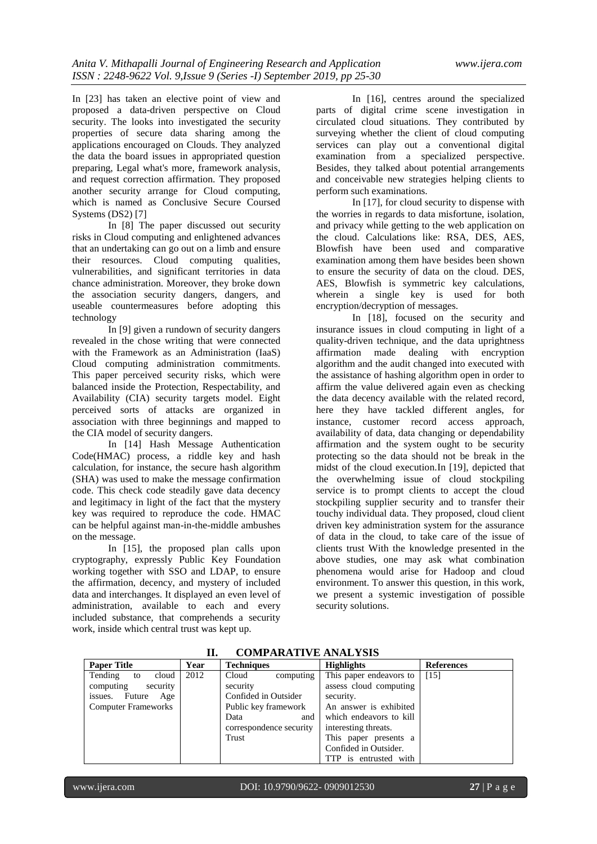In [23] has taken an elective point of view and proposed a data-driven perspective on Cloud security. The looks into investigated the security properties of secure data sharing among the applications encouraged on Clouds. They analyzed the data the board issues in appropriated question preparing, Legal what's more, framework analysis, and request correction affirmation. They proposed another security arrange for Cloud computing, which is named as Conclusive Secure Coursed Systems (DS2) [7]

In [8] The paper discussed out security risks in Cloud computing and enlightened advances that an undertaking can go out on a limb and ensure their resources. Cloud computing qualities, vulnerabilities, and significant territories in data chance administration. Moreover, they broke down the association security dangers, dangers, and useable countermeasures before adopting this technology

In [9] given a rundown of security dangers revealed in the chose writing that were connected with the Framework as an Administration (IaaS) Cloud computing administration commitments. This paper perceived security risks, which were balanced inside the Protection, Respectability, and Availability (CIA) security targets model. Eight perceived sorts of attacks are organized in association with three beginnings and mapped to the CIA model of security dangers.

In [14] Hash Message Authentication Code(HMAC) process, a riddle key and hash calculation, for instance, the secure hash algorithm (SHA) was used to make the message confirmation code. This check code steadily gave data decency and legitimacy in light of the fact that the mystery key was required to reproduce the code. HMAC can be helpful against man-in-the-middle ambushes on the message.

In [15], the proposed plan calls upon cryptography, expressly Public Key Foundation working together with SSO and LDAP, to ensure the affirmation, decency, and mystery of included data and interchanges. It displayed an even level of administration, available to each and every included substance, that comprehends a security work, inside which central trust was kept up.

In [16], centres around the specialized parts of digital crime scene investigation in circulated cloud situations. They contributed by surveying whether the client of cloud computing services can play out a conventional digital examination from a specialized perspective. Besides, they talked about potential arrangements and conceivable new strategies helping clients to perform such examinations.

In [17], for cloud security to dispense with the worries in regards to data misfortune, isolation, and privacy while getting to the web application on the cloud. Calculations like: RSA, DES, AES, Blowfish have been used and comparative examination among them have besides been shown to ensure the security of data on the cloud. DES, AES, Blowfish is symmetric key calculations, wherein a single key is used for both encryption/decryption of messages.

In [18], focused on the security and insurance issues in cloud computing in light of a quality-driven technique, and the data uprightness affirmation made dealing with encryption algorithm and the audit changed into executed with the assistance of hashing algorithm open in order to affirm the value delivered again even as checking the data decency available with the related record, here they have tackled different angles, for instance, customer record access approach, availability of data, data changing or dependability affirmation and the system ought to be security protecting so the data should not be break in the midst of the cloud execution.In [19], depicted that the overwhelming issue of cloud stockpiling service is to prompt clients to accept the cloud stockpiling supplier security and to transfer their touchy individual data. They proposed, cloud client driven key administration system for the assurance of data in the cloud, to take care of the issue of clients trust With the knowledge presented in the above studies, one may ask what combination phenomena would arise for Hadoop and cloud environment. To answer this question, in this work, we present a systemic investigation of possible security solutions.

| <b>Paper Title</b>         | Year | <b>Techniques</b>       | <b>Highlights</b>       | <b>References</b> |
|----------------------------|------|-------------------------|-------------------------|-------------------|
| cloud<br>Tending<br>to     | 2012 | computing<br>Cloud      | This paper endeavors to | [15]              |
| security<br>computing      |      | security                | assess cloud computing  |                   |
| Future<br>Age<br>issues.   |      | Confided in Outsider    | security.               |                   |
| <b>Computer Frameworks</b> |      | Public key framework    | An answer is exhibited  |                   |
|                            |      | Data<br>and             | which endeavors to kill |                   |
|                            |      | correspondence security | interesting threats.    |                   |
|                            |      | Trust                   | This paper presents a   |                   |
|                            |      |                         | Confided in Outsider.   |                   |
|                            |      |                         | TTP is entrusted with   |                   |

**II. COMPARATIVE ANALYSIS**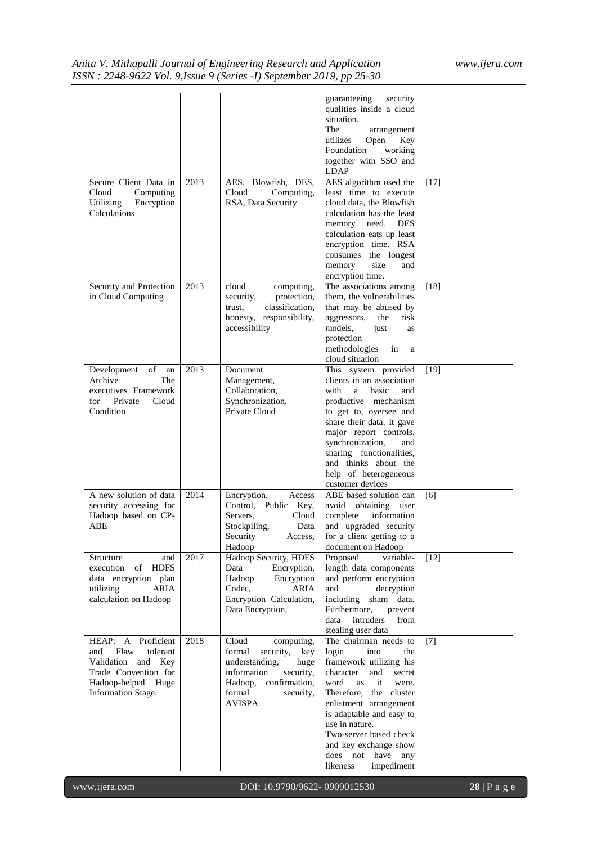# *Anita V. Mithapalli Journal of Engineering Research and Application www.ijera.com ISSN : 2248-9622 Vol. 9,Issue 9 (Series -I) September 2019, pp 25-30*

| Secure Client Data in<br>Cloud<br>Computing<br>Utilizing<br>Encryption<br>Calculations                                                  | 2013         | AES, Blowfish, DES,<br>Cloud<br>Computing,<br>RSA, Data Security                                                                                                   | guaranteeing<br>security<br>qualities inside a cloud<br>situation.<br>The<br>arrangement<br>Key<br>utilizes<br>Open<br>Foundation<br>working<br>together with SSO and<br><b>LDAP</b><br>AES algorithm used the<br>least time to execute<br>cloud data, the Blowfish<br>calculation has the least<br>memory need.<br><b>DES</b><br>calculation eats up least<br>encryption time. RSA<br>consumes the longest<br>size | $[17]$        |
|-----------------------------------------------------------------------------------------------------------------------------------------|--------------|--------------------------------------------------------------------------------------------------------------------------------------------------------------------|---------------------------------------------------------------------------------------------------------------------------------------------------------------------------------------------------------------------------------------------------------------------------------------------------------------------------------------------------------------------------------------------------------------------|---------------|
| Security and Protection<br>in Cloud Computing                                                                                           | 2013         | cloud<br>computing,<br>security,<br>protection,<br>classification,<br>trust,<br>honesty, responsibility,<br>accessibility                                          | memory<br>and<br>encryption time.<br>The associations among<br>them, the vulnerabilities<br>that may be abused by<br>aggressors,<br>the<br>risk<br>models,<br>just<br>as<br>protection<br>methodologies<br>in<br>a<br>cloud situation                                                                                                                                                                               | $[18]$        |
| of<br>Development<br>an<br>Archive<br>The<br>executives Framework<br>Private<br>for<br>Cloud<br>Condition                               | 2013         | Document<br>Management,<br>Collaboration,<br>Synchronization,<br>Private Cloud                                                                                     | This system provided<br>clients in an association<br>with<br>a<br>basic<br>and<br>productive mechanism<br>to get to, oversee and<br>share their data. It gave<br>major report controls,<br>synchronization,<br>and<br>sharing functionalities,<br>and thinks about the<br>help of heterogeneous<br>customer devices                                                                                                 | $[19]$        |
| A new solution of data<br>security accessing for<br>Hadoop based on CP-<br>ABE<br>Structure<br>and                                      | 2014<br>2017 | Encryption,<br>Access<br>Control. Public<br>Key,<br>Servers,<br>Cloud<br>Stockpiling,<br>Data<br>Security<br>Access,<br>Hadoop<br>Hadoop Security, HDFS            | ABE based solution can<br>avoid<br>obtaining<br>user<br>information<br>complete<br>and upgraded security<br>for a client getting to a<br>document on Hadoop<br>Proposed<br>variable-                                                                                                                                                                                                                                | [6]<br>$[12]$ |
| execution of<br><b>HDFS</b><br>data encryption plan<br>utilizing<br>ARIA<br>calculation on Hadoop                                       |              | Data<br>Encryption,<br>Encryption<br>Hadoop<br>Codec,<br>ARIA<br>Encryption Calculation,<br>Data Encryption,                                                       | length data components<br>and perform encryption<br>and<br>decryption<br>including<br>sham data.<br>Furthermore,<br>prevent<br>intruders<br>data<br>from<br>stealing user data                                                                                                                                                                                                                                      |               |
| HEAP: A Proficient<br>Flaw<br>tolerant<br>and<br>Validation and Key<br>Trade Convention for<br>Hadoop-helped Huge<br>Information Stage. | 2018         | Cloud<br>computing,<br>formal<br>security,<br>key<br>understanding,<br>huge<br>information<br>security,<br>Hadoop, confirmation,<br>formal<br>security,<br>AVISPA. | The chairman needs to<br>login<br>into<br>the<br>framework utilizing his<br>character<br>and<br>secret<br>word<br>it<br>as<br>were.<br>Therefore,<br>the cluster<br>enlistment arrangement<br>is adaptable and easy to<br>use in nature.<br>Two-server based check<br>and key exchange show<br>does not have any<br>impediment<br>likeness                                                                          | $[7]$         |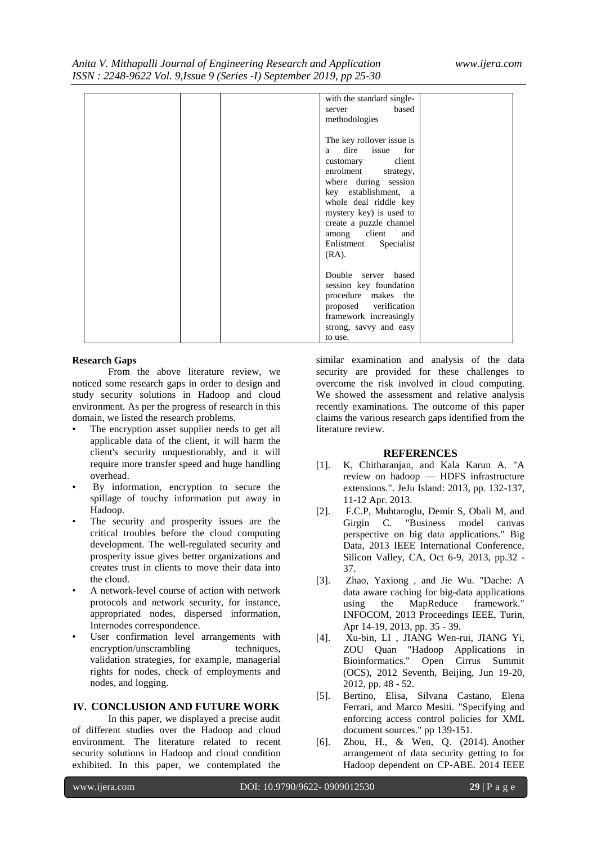*Anita V. Mithapalli Journal of Engineering Research and Application www.ijera.com ISSN : 2248-9622 Vol. 9,Issue 9 (Series -I) September 2019, pp 25-30*

|               | with the standard single- |
|---------------|---------------------------|
| server        | based                     |
| methodologies |                           |
|               |                           |
|               |                           |
|               | The key rollover issue is |
| a             | dire<br>issue<br>for      |
|               | client<br>customary       |
|               | enrolment strategy,       |
|               | where during session      |
|               | key establishment, a      |
|               | whole deal riddle key     |
|               | mystery key) is used to   |
|               | create a puzzle channel   |
|               |                           |
|               | among client<br>and       |
|               | Enlistment Specialist     |
| $(RA)$ .      |                           |
|               |                           |
|               | Double server based       |
|               | session key foundation    |
|               | procedure makes the       |
|               | proposed verification     |
|               |                           |
|               | framework increasingly    |
|               | strong, savvy and easy    |
| to use.       |                           |

#### **Research Gaps**

From the above literature review, we noticed some research gaps in order to design and study security solutions in Hadoop and cloud environment. As per the progress of research in this domain, we listed the research problems.

- The encryption asset supplier needs to get all applicable data of the client, it will harm the client's security unquestionably, and it will require more transfer speed and huge handling overhead.
- By information, encryption to secure the spillage of touchy information put away in Hadoop.
- The security and prosperity issues are the critical troubles before the cloud computing development. The well-regulated security and prosperity issue gives better organizations and creates trust in clients to move their data into the cloud.
- A network-level course of action with network protocols and network security, for instance, appropriated nodes, dispersed information, Internodes correspondence.
- User confirmation level arrangements with encryption/unscrambling techniques, validation strategies, for example, managerial rights for nodes, check of employments and nodes, and logging.

# **IV. CONCLUSION AND FUTURE WORK**

In this paper, we displayed a precise audit of different studies over the Hadoop and cloud environment. The literature related to recent security solutions in Hadoop and cloud condition exhibited. In this paper, we contemplated the

similar examination and analysis of the data security are provided for these challenges to overcome the risk involved in cloud computing. We showed the assessment and relative analysis recently examinations. The outcome of this paper claims the various research gaps identified from the literature review.

#### **REFERENCES**

- [1]. K, Chitharanjan, and Kala Karun A. "A review on hadoop — HDFS infrastructure extensions.". JeJu Island: 2013, pp. 132-137, 11-12 Apr. 2013.
- [2]. F.C.P, Muhtaroglu, Demir S, Obali M, and Girgin C. "Business model canvas perspective on big data applications." Big Data, 2013 IEEE International Conference, Silicon Valley, CA, Oct 6-9, 2013, pp.32 - 37.
- [3]. Zhao, Yaxiong , and Jie Wu. "Dache: A data aware caching for big-data applications using the MapReduce framework." INFOCOM, 2013 Proceedings IEEE, Turin, Apr 14-19, 2013, pp. 35 - 39.
- [4]. Xu-bin, LI , JIANG Wen-rui, JIANG Yi, ZOU Quan "Hadoop Applications in Bioinformatics." Open Cirrus Summit (OCS), 2012 Seventh, Beijing, Jun 19-20, 2012, pp. 48 - 52.
- [5]. Bertino, Elisa, Silvana Castano, Elena Ferrari, and Marco Mesiti. "Specifying and enforcing access control policies for XML document sources." pp 139-151.
- [6]. Zhou, H., & Wen, Q. (2014). Another arrangement of data security getting to for Hadoop dependent on CP-ABE. 2014 IEEE